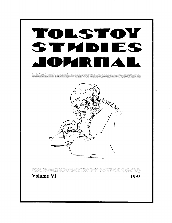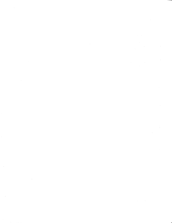$\label{eq:2.1} \frac{1}{\sqrt{2}}\left(\frac{1}{\sqrt{2}}\right)^{2} \left(\frac{1}{\sqrt{2}}\right)^{2} \left(\frac{1}{\sqrt{2}}\right)^{2} \left(\frac{1}{\sqrt{2}}\right)^{2} \left(\frac{1}{\sqrt{2}}\right)^{2} \left(\frac{1}{\sqrt{2}}\right)^{2} \left(\frac{1}{\sqrt{2}}\right)^{2} \left(\frac{1}{\sqrt{2}}\right)^{2} \left(\frac{1}{\sqrt{2}}\right)^{2} \left(\frac{1}{\sqrt{2}}\right)^{2} \left(\frac{1}{\sqrt{2}}\right)^{2} \left(\$  $\label{eq:R1} \mathcal{L} = \frac{1}{2} \sum_{i=1}^n \frac{1}{2} \sum_{j=1}^n \frac{1}{2} \sum_{j=1}^n \frac{1}{2} \sum_{j=1}^n \frac{1}{2} \sum_{j=1}^n \frac{1}{2} \sum_{j=1}^n \frac{1}{2} \sum_{j=1}^n \frac{1}{2} \sum_{j=1}^n \frac{1}{2} \sum_{j=1}^n \frac{1}{2} \sum_{j=1}^n \frac{1}{2} \sum_{j=1}^n \frac{1}{2} \sum_{j=1}^n \frac{1}{2} \sum_{j=1$  $\label{eq:2.1} \mathcal{L}(\mathcal{L}(\mathcal{L})) = \mathcal{L}(\mathcal{L}(\mathcal{L})) = \mathcal{L}(\mathcal{L}(\mathcal{L})) = \mathcal{L}(\mathcal{L}(\mathcal{L}))$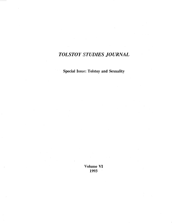## TOLSTOY STUDIES JOURNAL

**Special Issue: Tolstoy and Sexuality** 

Volume VI 1993